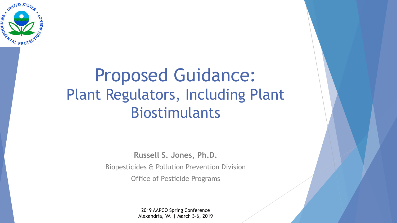

# Proposed Guidance: Plant Regulators, Including Plant Biostimulants

**Russell S. Jones, Ph.D.**  Biopesticides & Pollution Prevention Division Office of Pesticide Programs

> 2019 AAPCO Spring Conference Alexandria, VA | March 3-6, 2019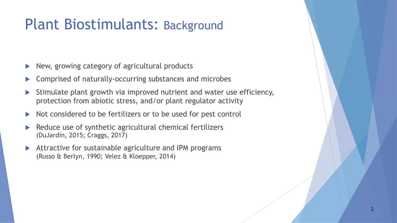# Plant Biostimulants: Background

- New, growing category of agricultural products
- $\triangleright$  Comprised of naturally-occurring substances and microbes
- Stimulate plant growth via improved nutrient and water use efficiency, protection from abiotic stress, and/or plant regulator activity
- Not considered to be fertilizers or to be used for pest control
- Reduce use of synthetic agricultural chemical fertilizers (DuJardin, 2015; Craggs, 2017)
- $\blacktriangleright$  Attractive for sustainable agriculture and IPM programs (Russo & Berlyn, 1990; Velez & Kloepper, 2014)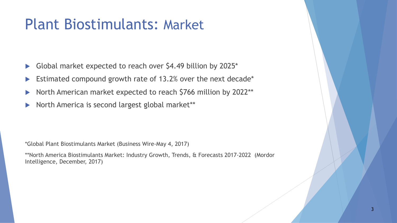# Plant Biostimulants: Market

- Global market expected to reach over \$4.49 billion by 2025\*
- $\blacktriangleright$  Estimated compound growth rate of 13.2% over the next decade\*
- North American market expected to reach \$766 million by 2022\*\*
- North America is second largest global market\*\*

\*Global Plant Biostimulants Market (Business Wire-May 4, 2017)

\*\*North America Biostimulants Market: Industry Growth, Trends, & Forecasts 2017-2022 (Mordor Intelligence, December, 2017)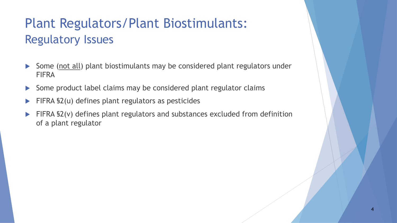## Plant Regulators/Plant Biostimulants: Regulatory Issues

- Some (not all) plant biostimulants may be considered plant regulators under FIFRA
- $\triangleright$  Some product label claims may be considered plant regulator claims
- $\blacktriangleright$  FIFRA §2(u) defines plant regulators as pesticides
- FIFRA §2(v) defines plant regulators and substances excluded from definition of a plant regulator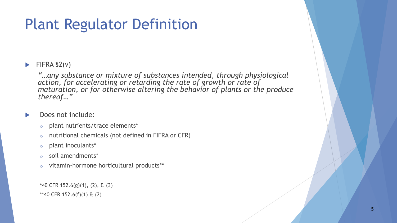# Plant Regulator Definition

#### $\blacktriangleright$  FIFRA §2(v)

*"…any substance or mixture of substances intended, through physiological action, for accelerating or retarding the rate of growth or rate of maturation, or for otherwise altering the behavior of plants or the produce thereof…"* 

- Does not include:
	- o plant nutrients/trace elements\*
	- o nutritional chemicals (not defined in FIFRA or CFR)
	- o plant inoculants\*
	- o soil amendments\*
	- o vitamin-hormone horticultural products\*\*

 $*$ 40 CFR 152.6(g)(1), (2), & (3) \*\*40 CFR 152.6(f)(1) & (2)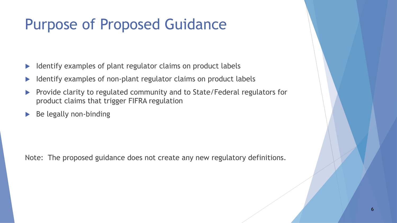# Purpose of Proposed Guidance

- Identify examples of plant regulator claims on product labels
- Identify examples of non-plant regulator claims on product labels
- **EXPEDEE CONTER FIGHTED FIGHTED FIGHTED FIGHTED FIGHTED FIGHTED FIGHTED FIGHTED FIGHTED FIGHTED FIGHTED FIGHTED FIGHTED FIGHTED FIGHTED FIGHTED FIGHTED FIGHTED FIGHTED FIGHTED FIGHTED FIGHTED FIGHTED FIGHTED FIGHTED FIGHTE** product claims that trigger FIFRA regulation
- $\triangleright$  Be legally non-binding

Note: The proposed guidance does not create any new regulatory definitions.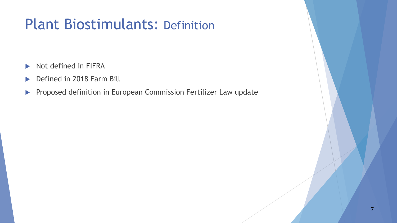# Plant Biostimulants: Definition

- $\triangleright$  Not defined in FIFRA
- ▶ Defined in 2018 Farm Bill
- **Proposed definition in European Commission Fertilizer Law update**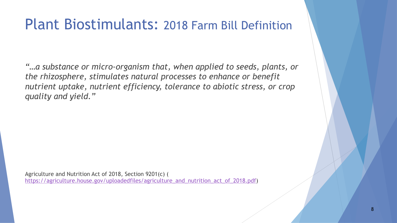## Plant Biostimulants: 2018 Farm Bill Definition

*"…a substance or micro-organism that, when applied to seeds, plants, or the rhizosphere, stimulates natural processes to enhance or benefit nutrient uptake, nutrient efficiency, tolerance to abiotic stress, or crop quality and yield."* 

Agriculture and Nutrition Act of 2018, Section 9201(c) ( https://agriculture.house.gov/uploadedfiles/agriculture\_and\_nutrition\_act\_of\_2018.pdf)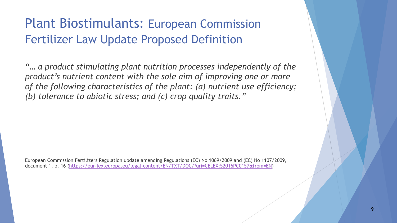#### Plant Biostimulants: European Commission Fertilizer Law Update Proposed Definition

*"… a product stimulating plant nutrition processes independently of the product's nutrient content with the sole aim of improving one or more of the following characteristics of the plant: (a) nutrient use efficiency; (b) tolerance to abiotic stress; and (c) crop quality traits."* 

European Commission Fertilizers Regulation update amending Regulations (EC) No 1069/2009 and (EC) No 1107/2009, document 1, p. 16 (https://eur-lex.europa.eu/legal-content/EN/TXT/DOC/?uri=CELEX:52016PC0157&from=EN)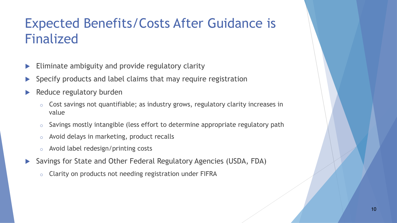## Expected Benefits/Costs After Guidance is Finalized

- Eliminate ambiguity and provide regulatory clarity
- Specify products and label claims that may require registration
- Reduce regulatory burden
	- o Cost savings not quantifiable; as industry grows, regulatory clarity increases in value
	- o Savings mostly intangible (less effort to determine appropriate regulatory path
	- o Avoid delays in marketing, product recalls
	- o Avoid label redesign/printing costs
- ▶ Savings for State and Other Federal Regulatory Agencies (USDA, FDA)
	- o Clarity on products not needing registration under FIFRA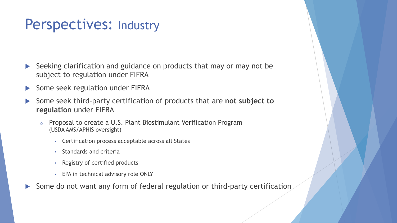### Perspectives: Industry

- Seeking clarification and guidance on products that may or may not be subject to regulation under FIFRA
- $\triangleright$  Some seek regulation under FIFRA
- Some seek third-party certification of products that are not subject to **regulation** under FIFRA
	- o Proposal to create a U.S. Plant Biostimulant Verification Program (USDA AMS/APHIS oversight)
		- Certification process acceptable across all States
		- Standards and criteria
		- Registry of certified products
		- EPA in technical advisory role ONLY
- Some do not want any form of federal regulation or third-party certification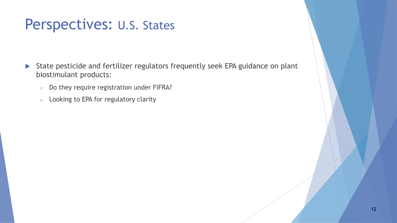## Perspectives: U.S. States

- ▶ State pesticide and fertilizer regulators frequently seek EPA guidance on plant biostimulant products:
	- o Do they require registration under FIFRA?
	- o Looking to EPA for regulatory clarity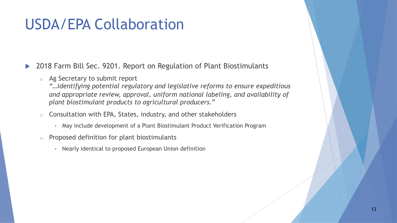# USDA/EPA Collaboration

▶ 2018 Farm Bill Sec. 9201. Report on Regulation of Plant Biostimulants

o Ag Secretary to submit report

*"…identifying potential regulatory and legislative reforms to ensure expeditious and appropriate review, approval, uniform national labeling, and availability of plant biostimulant products to agricultural producers*."

- $\circ$  Consultation with EPA, States, industry, and other stakeholders
	- May include development of a Plant Biostimulant Product Verification Program
- o Proposed definition for plant biostimulants
	- Nearly identical to proposed European Union definition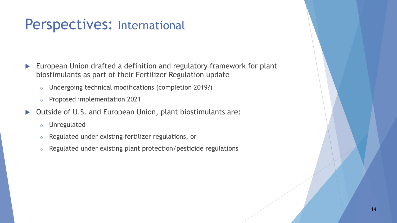## Perspectives: International

- $\blacktriangleright$  European Union drafted a definition and regulatory framework for plant biostimulants as part of their Fertilizer Regulation update
	- o Undergoing technical modifications (completion 2019?)
	- o Proposed implementation 2021
- ▶ Outside of U.S. and European Union, plant biostimulants are:
	- o Unregulated
	- o Regulated under existing fertilizer regulations, or
	- o Regulated under existing plant protection/pesticide regulations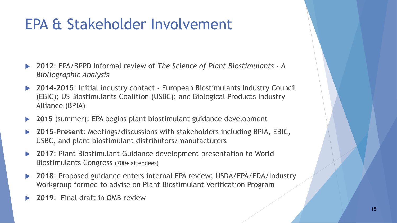# EPA & Stakeholder Involvement

- u **2012**: EPA/BPPD Informal review of *The Science of Plant Biostimulants A Bibliographic Analysis*
- **2014-2015:** Initial industry contact European Biostimulants Industry Council (EBIC); US Biostimulants Coalition (USBC); and Biological Products Industry Alliance (BPIA)
- **2015** (summer): EPA begins plant biostimulant guidance development
- u **2015-Present**: Meetings/discussions with stakeholders including BPIA, EBIC, USBC, and plant biostimulant distributors/manufacturers
- ▶ 2017: Plant Biostimulant Guidance development presentation to World Biostimulants Congress (700+ attendees)
- 2018: Proposed guidance enters internal EPA review; USDA/EPA/FDA/Industry Workgroup formed to advise on Plant Biostimulant Verification Program
- **2019:** Final draft in OMB review